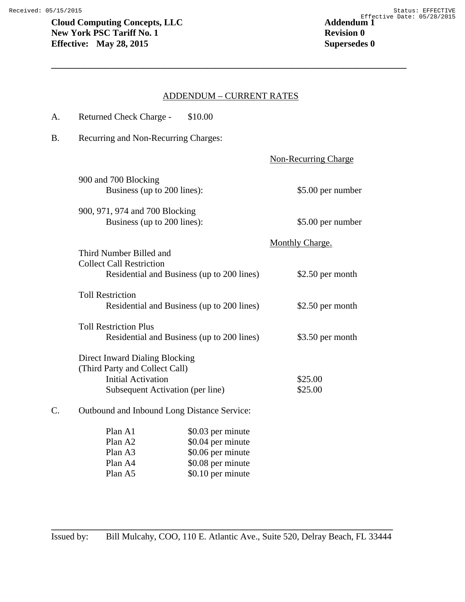## ADDENDUM – CURRENT RATES

**\_\_\_\_\_\_\_\_\_\_\_\_\_\_\_\_\_\_\_\_\_\_\_\_\_\_\_\_\_\_\_\_\_\_\_\_\_\_\_\_\_\_\_\_\_\_\_\_\_\_\_\_\_\_\_\_\_\_\_\_\_\_\_\_\_\_\_\_\_\_\_\_\_\_\_\_\_\_** 

| A. | Returned Check Charge - \$10.00                                                                      |                             |
|----|------------------------------------------------------------------------------------------------------|-----------------------------|
| B. | Recurring and Non-Recurring Charges:                                                                 |                             |
|    |                                                                                                      | <b>Non-Recurring Charge</b> |
|    | 900 and 700 Blocking<br>Business (up to 200 lines):                                                  | \$5.00 per number           |
|    | 900, 971, 974 and 700 Blocking<br>Business (up to 200 lines):                                        | \$5.00 per number           |
|    | Third Number Billed and                                                                              | Monthly Charge.             |
|    | <b>Collect Call Restriction</b><br>Residential and Business (up to 200 lines)                        | $$2.50$ per month           |
|    | <b>Toll Restriction</b><br>Residential and Business (up to 200 lines)                                | \$2.50 per month            |
|    | <b>Toll Restriction Plus</b><br>Residential and Business (up to 200 lines)                           | \$3.50 per month            |
|    | <b>Direct Inward Dialing Blocking</b><br>(Third Party and Collect Call)<br><b>Initial Activation</b> | \$25.00                     |
|    | Subsequent Activation (per line)                                                                     | \$25.00                     |
| C. | Outbound and Inbound Long Distance Service:                                                          |                             |
|    | Plan A1<br>\$0.03 per minute                                                                         |                             |

| ********            |                   |
|---------------------|-------------------|
| Plan A <sub>2</sub> | \$0.04 per minute |
| Plan A3             | \$0.06 per minute |
| Plan A4             | \$0.08 per minute |
| Plan A5             | \$0.10 per minute |
|                     |                   |